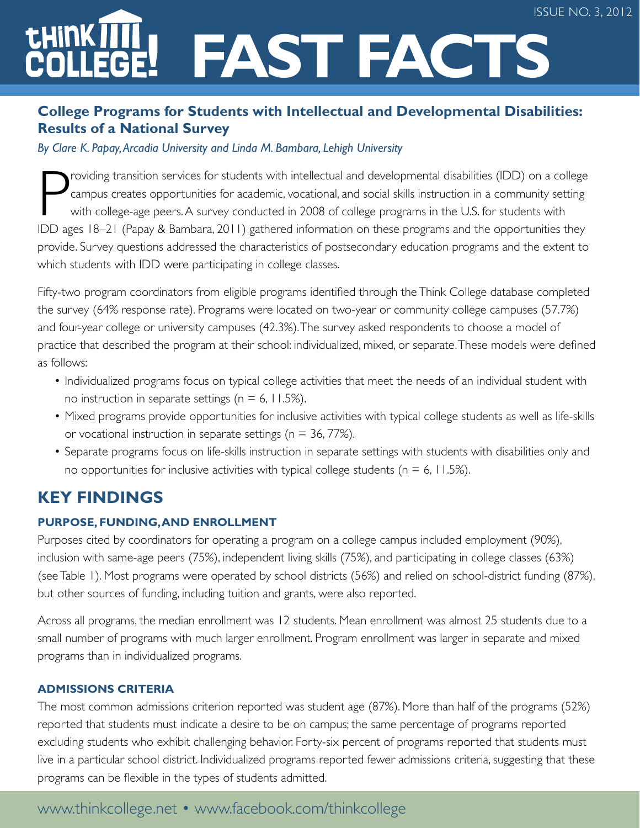# **Fast Facts**

## **College Programs for Students with Intellectual and Developmental Disabilities: Results of a National Survey**

#### *By Clare K. Papay, Arcadia University and Linda M. Bambara, Lehigh University*

P roviding transition services for students with intellectual and developmental disabilities (IDD) on a college campus creates opportunities for academic, vocational, and social skills instruction in a community setting with college-age peers. A survey conducted in 2008 of college programs in the U.S. for students with IDD ages 18–21 (Papay & Bambara, 2011) gathered information on these programs and the opportunities they provide. Survey questions addressed the characteristics of postsecondary education programs and the extent to which students with IDD were participating in college classes.

Fifty-two program coordinators from eligible programs identified through the Think College database completed the survey (64% response rate). Programs were located on two-year or community college campuses (57.7%) and four-year college or university campuses (42.3%). The survey asked respondents to choose a model of practice that described the program at their school: individualized, mixed, or separate. These models were defined as follows:

- Individualized programs focus on typical college activities that meet the needs of an individual student with no instruction in separate settings ( $n = 6$ , 11.5%).
- Mixed programs provide opportunities for inclusive activities with typical college students as well as life-skills or vocational instruction in separate settings ( $n = 36, 77\%$ ).
- Separate programs focus on life-skills instruction in separate settings with students with disabilities only and no opportunities for inclusive activities with typical college students ( $n = 6$ , 11.5%).

## **Key Findings**

#### **Purpose, Funding, and Enrollment**

Purposes cited by coordinators for operating a program on a college campus included employment (90%), inclusion with same-age peers (75%), independent living skills (75%), and participating in college classes (63%) (see Table 1). Most programs were operated by school districts (56%) and relied on school-district funding (87%), but other sources of funding, including tuition and grants, were also reported.

Across all programs, the median enrollment was 12 students. Mean enrollment was almost 25 students due to a small number of programs with much larger enrollment. Program enrollment was larger in separate and mixed programs than in individualized programs.

#### **Admissions Criteria**

The most common admissions criterion reported was student age (87%). More than half of the programs (52%) reported that students must indicate a desire to be on campus; the same percentage of programs reported excluding students who exhibit challenging behavior. Forty-six percent of programs reported that students must live in a particular school district. Individualized programs reported fewer admissions criteria, suggesting that these programs can be flexible in the types of students admitted.

## www.thinkcollege.net • www.facebook.com/thinkcollege